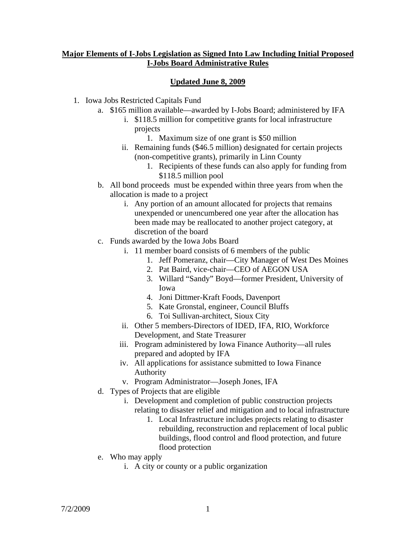## **Major Elements of I-Jobs Legislation as Signed Into Law Including Initial Proposed I-Jobs Board Administrative Rules**

## **Updated June 8, 2009**

- 1. Iowa Jobs Restricted Capitals Fund
	- a. \$165 million available—awarded by I-Jobs Board; administered by IFA
		- i. \$118.5 million for competitive grants for local infrastructure projects
			- 1. Maximum size of one grant is \$50 million
		- ii. Remaining funds (\$46.5 million) designated for certain projects (non-competitive grants), primarily in Linn County
			- 1. Recipients of these funds can also apply for funding from \$118.5 million pool
	- b. All bond proceeds must be expended within three years from when the allocation is made to a project
		- i. Any portion of an amount allocated for projects that remains unexpended or unencumbered one year after the allocation has been made may be reallocated to another project category, at discretion of the board
	- c. Funds awarded by the Iowa Jobs Board
		- i. 11 member board consists of 6 members of the public
			- 1. Jeff Pomeranz, chair—City Manager of West Des Moines
			- 2. Pat Baird, vice-chair—CEO of AEGON USA
			- 3. Willard "Sandy" Boyd—former President, University of Iowa
			- 4. Joni Dittmer-Kraft Foods, Davenport
			- 5. Kate Gronstal, engineer, Council Bluffs
			- 6. Toi Sullivan-architect, Sioux City
		- ii. Other 5 members-Directors of IDED, IFA, RIO, Workforce Development, and State Treasurer
		- iii. Program administered by Iowa Finance Authority—all rules prepared and adopted by IFA
		- iv. All applications for assistance submitted to Iowa Finance Authority
		- v. Program Administrator—Joseph Jones, IFA
	- d. Types of Projects that are eligible
		- i. Development and completion of public construction projects relating to disaster relief and mitigation and to local infrastructure
			- 1. Local Infrastructure includes projects relating to disaster rebuilding, reconstruction and replacement of local public buildings, flood control and flood protection, and future flood protection
	- e. Who may apply
		- i. A city or county or a public organization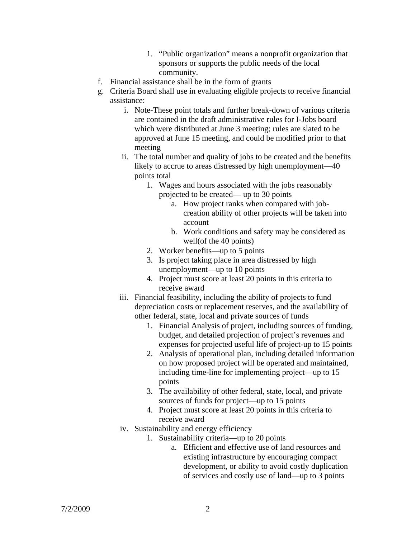- 1. "Public organization" means a nonprofit organization that sponsors or supports the public needs of the local community.
- f. Financial assistance shall be in the form of grants
- g. Criteria Board shall use in evaluating eligible projects to receive financial assistance:
	- i. Note-These point totals and further break-down of various criteria are contained in the draft administrative rules for I-Jobs board which were distributed at June 3 meeting; rules are slated to be approved at June 15 meeting, and could be modified prior to that meeting
	- ii. The total number and quality of jobs to be created and the benefits likely to accrue to areas distressed by high unemployment—40 points total
		- 1. Wages and hours associated with the jobs reasonably projected to be created— up to 30 points
			- a. How project ranks when compared with jobcreation ability of other projects will be taken into account
			- b. Work conditions and safety may be considered as well(of the 40 points)
		- 2. Worker benefits—up to 5 points
		- 3. Is project taking place in area distressed by high unemployment—up to 10 points
		- 4. Project must score at least 20 points in this criteria to receive award
	- iii. Financial feasibility, including the ability of projects to fund depreciation costs or replacement reserves, and the availability of other federal, state, local and private sources of funds
		- 1. Financial Analysis of project, including sources of funding, budget, and detailed projection of project's revenues and expenses for projected useful life of project-up to 15 points
		- 2. Analysis of operational plan, including detailed information on how proposed project will be operated and maintained, including time-line for implementing project—up to 15 points
		- 3. The availability of other federal, state, local, and private sources of funds for project—up to 15 points
		- 4. Project must score at least 20 points in this criteria to receive award
	- iv. Sustainability and energy efficiency
		- 1. Sustainability criteria—up to 20 points
			- a. Efficient and effective use of land resources and existing infrastructure by encouraging compact development, or ability to avoid costly duplication of services and costly use of land—up to 3 points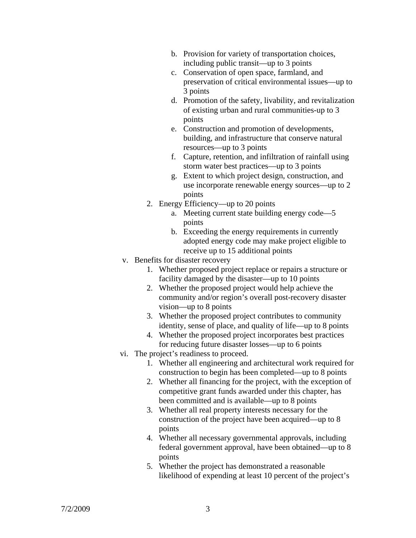- b. Provision for variety of transportation choices, including public transit—up to 3 points
- c. Conservation of open space, farmland, and preservation of critical environmental issues—up to 3 points
- d. Promotion of the safety, livability, and revitalization of existing urban and rural communities-up to 3 points
- e. Construction and promotion of developments, building, and infrastructure that conserve natural resources—up to 3 points
- f. Capture, retention, and infiltration of rainfall using storm water best practices—up to 3 points
- g. Extent to which project design, construction, and use incorporate renewable energy sources—up to 2 points
- 2. Energy Efficiency—up to 20 points
	- a. Meeting current state building energy code—5 points
	- b. Exceeding the energy requirements in currently adopted energy code may make project eligible to receive up to 15 additional points
- v. Benefits for disaster recovery
	- 1. Whether proposed project replace or repairs a structure or facility damaged by the disaster—up to 10 points
	- 2. Whether the proposed project would help achieve the community and/or region's overall post-recovery disaster vision—up to 8 points
	- 3. Whether the proposed project contributes to community identity, sense of place, and quality of life—up to 8 points
	- 4. Whether the proposed project incorporates best practices for reducing future disaster losses—up to 6 points
- vi. The project's readiness to proceed.
	- 1. Whether all engineering and architectural work required for construction to begin has been completed—up to 8 points
	- 2. Whether all financing for the project, with the exception of competitive grant funds awarded under this chapter, has been committed and is available—up to 8 points
	- 3. Whether all real property interests necessary for the construction of the project have been acquired—up to 8 points
	- 4. Whether all necessary governmental approvals, including federal government approval, have been obtained—up to 8 points
	- 5. Whether the project has demonstrated a reasonable likelihood of expending at least 10 percent of the project's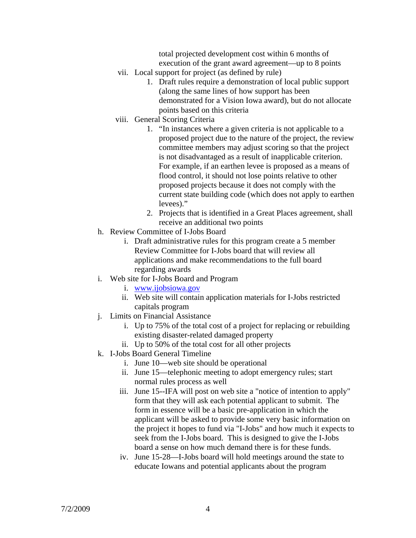total projected development cost within 6 months of execution of the grant award agreement—up to 8 points

- vii. Local support for project (as defined by rule)
	- 1. Draft rules require a demonstration of local public support (along the same lines of how support has been demonstrated for a Vision Iowa award), but do not allocate points based on this criteria
- viii. General Scoring Criteria
	- 1. "In instances where a given criteria is not applicable to a proposed project due to the nature of the project, the review committee members may adjust scoring so that the project is not disadvantaged as a result of inapplicable criterion. For example, if an earthen levee is proposed as a means of flood control, it should not lose points relative to other proposed projects because it does not comply with the current state building code (which does not apply to earthen levees)."
	- 2. Projects that is identified in a Great Places agreement, shall receive an additional two points
- h. Review Committee of I-Jobs Board
	- i. Draft administrative rules for this program create a 5 member Review Committee for I-Jobs board that will review all applications and make recommendations to the full board regarding awards
- i. Web site for I-Jobs Board and Program
	- i. www.ijobsiowa.gov
	- ii. Web site will contain application materials for I-Jobs restricted capitals program
- j. Limits on Financial Assistance
	- i. Up to 75% of the total cost of a project for replacing or rebuilding existing disaster-related damaged property
	- ii. Up to 50% of the total cost for all other projects
- k. I-Jobs Board General Timeline
	- i. June 10—web site should be operational
	- ii. June 15—telephonic meeting to adopt emergency rules; start normal rules process as well
	- iii. June 15--IFA will post on web site a "notice of intention to apply" form that they will ask each potential applicant to submit. The form in essence will be a basic pre-application in which the applicant will be asked to provide some very basic information on the project it hopes to fund via "I-Jobs" and how much it expects to seek from the I-Jobs board. This is designed to give the I-Jobs board a sense on how much demand there is for these funds.
	- iv. June 15-28—I-Jobs board will hold meetings around the state to educate Iowans and potential applicants about the program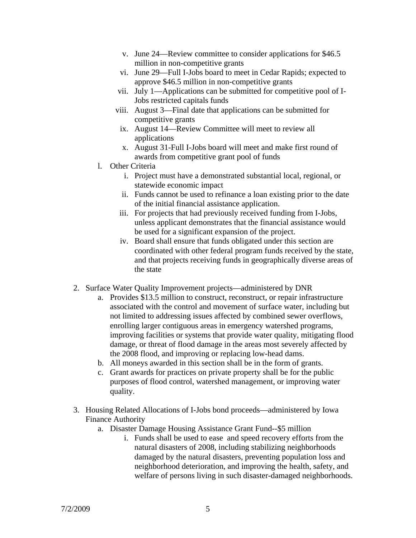- v. June 24—Review committee to consider applications for \$46.5 million in non-competitive grants
- vi. June 29—Full I-Jobs board to meet in Cedar Rapids; expected to approve \$46.5 million in non-competitive grants
- vii. July 1—Applications can be submitted for competitive pool of I-Jobs restricted capitals funds
- viii. August 3—Final date that applications can be submitted for competitive grants
	- ix. August 14—Review Committee will meet to review all applications
	- x. August 31-Full I-Jobs board will meet and make first round of awards from competitive grant pool of funds
- l. Other Criteria
	- i. Project must have a demonstrated substantial local, regional, or statewide economic impact
	- ii. Funds cannot be used to refinance a loan existing prior to the date of the initial financial assistance application.
	- iii. For projects that had previously received funding from I-Jobs, unless applicant demonstrates that the financial assistance would be used for a significant expansion of the project.
	- iv. Board shall ensure that funds obligated under this section are coordinated with other federal program funds received by the state, and that projects receiving funds in geographically diverse areas of the state
- 2. Surface Water Quality Improvement projects—administered by DNR
	- a. Provides \$13.5 million to construct, reconstruct, or repair infrastructure associated with the control and movement of surface water, including but not limited to addressing issues affected by combined sewer overflows, enrolling larger contiguous areas in emergency watershed programs, improving facilities or systems that provide water quality, mitigating flood damage, or threat of flood damage in the areas most severely affected by the 2008 flood, and improving or replacing low-head dams.
	- b. All moneys awarded in this section shall be in the form of grants.
	- c. Grant awards for practices on private property shall be for the public purposes of flood control, watershed management, or improving water quality.
- 3. Housing Related Allocations of I-Jobs bond proceeds—administered by Iowa Finance Authority
	- a. Disaster Damage Housing Assistance Grant Fund--\$5 million
		- i. Funds shall be used to ease and speed recovery efforts from the natural disasters of 2008, including stabilizing neighborhoods damaged by the natural disasters, preventing population loss and neighborhood deterioration, and improving the health, safety, and welfare of persons living in such disaster-damaged neighborhoods.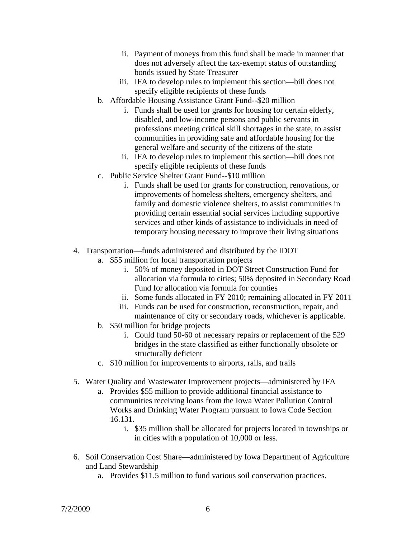- ii. Payment of moneys from this fund shall be made in manner that does not adversely affect the tax-exempt status of outstanding bonds issued by State Treasurer
- iii. IFA to develop rules to implement this section—bill does not specify eligible recipients of these funds
- b. Affordable Housing Assistance Grant Fund--\$20 million
	- i. Funds shall be used for grants for housing for certain elderly, disabled, and low-income persons and public servants in professions meeting critical skill shortages in the state, to assist communities in providing safe and affordable housing for the general welfare and security of the citizens of the state
	- ii. IFA to develop rules to implement this section—bill does not specify eligible recipients of these funds
- c. Public Service Shelter Grant Fund--\$10 million
	- i. Funds shall be used for grants for construction, renovations, or improvements of homeless shelters, emergency shelters, and family and domestic violence shelters, to assist communities in providing certain essential social services including supportive services and other kinds of assistance to individuals in need of temporary housing necessary to improve their living situations
- 4. Transportation—funds administered and distributed by the IDOT
	- a. \$55 million for local transportation projects
		- i. 50% of money deposited in DOT Street Construction Fund for allocation via formula to cities; 50% deposited in Secondary Road Fund for allocation via formula for counties
		- ii. Some funds allocated in FY 2010; remaining allocated in FY 2011
		- iii. Funds can be used for construction, reconstruction, repair, and maintenance of city or secondary roads, whichever is applicable.
	- b. \$50 million for bridge projects
		- i. Could fund 50-60 of necessary repairs or replacement of the 529 bridges in the state classified as either functionally obsolete or structurally deficient
	- c. \$10 million for improvements to airports, rails, and trails
- 5. Water Quality and Wastewater Improvement projects—administered by IFA
	- a. Provides \$55 million to provide additional financial assistance to communities receiving loans from the Iowa Water Pollution Control Works and Drinking Water Program pursuant to Iowa Code Section 16.131.
		- i. \$35 million shall be allocated for projects located in townships or in cities with a population of 10,000 or less.
- 6. Soil Conservation Cost Share—administered by Iowa Department of Agriculture and Land Stewardship
	- a. Provides \$11.5 million to fund various soil conservation practices.